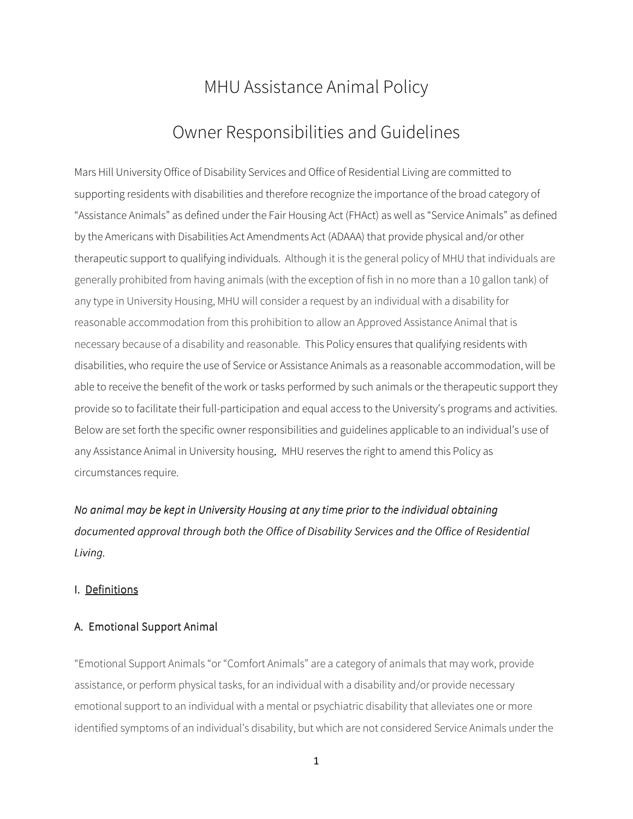## MHU Assistance Animal Policy

### Owner Responsibilities and Guidelines

Mars Hill University Office of Disability Services and Office of Residential Living are committed to supporting residents with disabilities and therefore recognize the importance of the broad category of "Assistance Animals" as defined under the Fair Housing Act (FHAct) as well as "Service Animals" as defined by the Americans with Disabilities Act Amendments Act (ADAAA) that provide physical and/or other therapeutic support to qualifying individuals. Although it is the general policy of MHU that individuals are generally prohibited from having animals (with the exception of fish in no more than a 10 gallon tank) of any type in University Housing, MHU will consider a request by an individual with a disability for reasonable accommodation from this prohibition to allow an Approved Assistance Animal that is necessary because of a disability and reasonable. This Policy ensures that qualifying residents with disabilities, who require the use of Service or Assistance Animals as a reasonable accommodation, will be able to receive the benefit of the work or tasks performed by such animals or the therapeutic support they provide so to facilitate their full-participation and equal access to the University's programs and activities. Below are set forth the specific owner responsibilities and guidelines applicable to an individual's use of any Assistance Animal in University housing. MHU reserves the right to amend this Policy as circumstances require.

No animal may be kept in University Housing at any time prior to the individual obtaining documented approval through both the Office of Disability Services and the Office of Residential Living. Living.

#### I. Definitions

#### A. Emotional Support Animal

"Emotional Support Animals "or "Comfort Animals" are a category of animals that may work, provide assistance, or perform physical tasks, for an individual with a disability and/or provide necessary emotional support to an individual with a mental or psychiatric disability that alleviates one or more identified symptoms of an individual's disability, but which are not considered Service Animals under the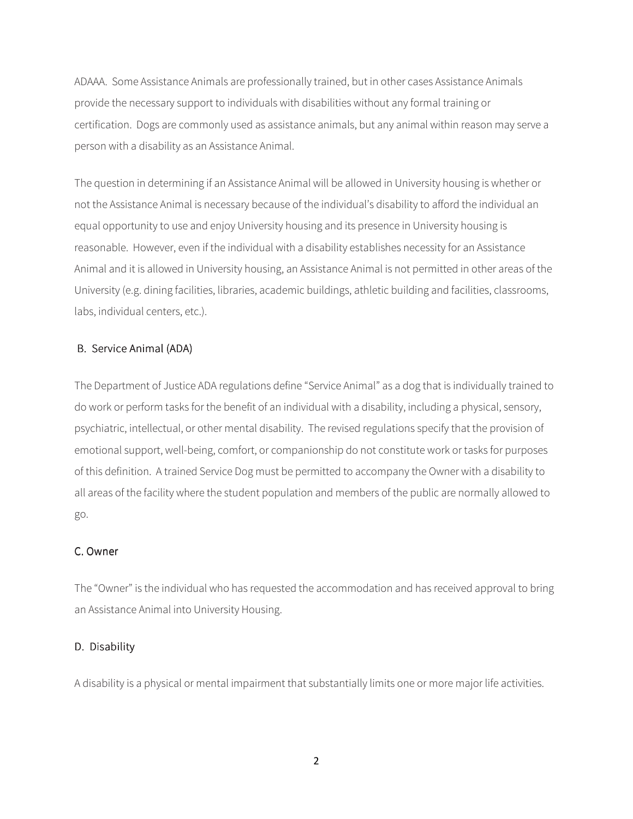ADAAA. Some Assistance Animals are professionally trained, but in other cases Assistance Animals provide the necessary support to individuals with disabilities without any formal training or certification. Dogs are commonly used as assistance animals, but any animal within reason may serve a person with a disability as an Assistance Animal.

The question in determining if an Assistance Animal will be allowed in University housing is whether or not the Assistance Animal is necessary because of the individual's disability to afford the individual an equal opportunity to use and enjoy University housing and its presence in University housing is reasonable. However, even if the individual with a disability establishes necessity for an Assistance Animal and it is allowed in University housing, an Assistance Animal is not permitted in other areas of the University (e.g. dining facilities, libraries, academic buildings, athletic building and facilities, classrooms, labs, individual centers, etc.).

#### B. Service Animal (ADA)

The Department of Justice ADA regulations define "Service Animal" as a dog that is individually trained to do work or perform tasks for the benefit of an individual with a disability, including a physical, sensory, psychiatric, intellectual, or other mental disability. The revised regulations specify that the provision of emotional support, well-being, comfort, or companionship do not constitute work or tasks for purposes of this definition. A trained Service Dog must be permitted to accompany the Owner with a disability to all areas of the facility where the student population and members of the public are normally allowed to go.

#### C. Owner

The "Owner" is the individual who has requested the accommodation and has received approval to bring an Assistance Animal into University Housing.

#### D. Disability

A disability is a physical or mental impairment that substantially limits one or more major life activities.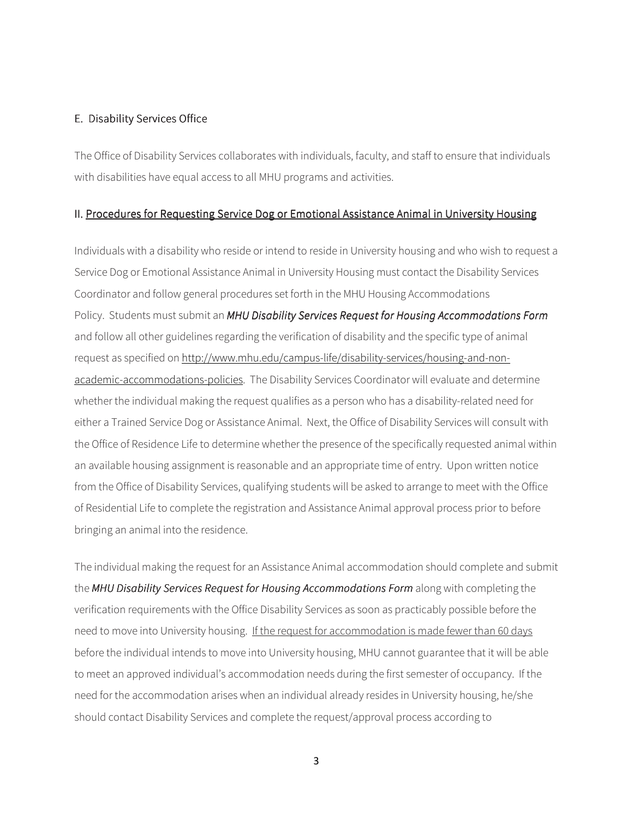#### E. Disability Services Office

The Office of Disability Services collaborates with individuals, faculty, and staff to ensure that individuals with disabilities have equal access to all MHU programs and activities.

#### II. Procedures for Requesting Service Dog or Emotional Assistance Animal in University Housing

Individuals with a disability who reside or intend to reside in University housing and who wish to request a Service Dog or Emotional Assistance Animal in University Housing must contact the Disability Services Coordinator and follow general procedures set forth in the MHU Housing Accommodations Policy. Students must submit an MHU Disability Services Request for Housing Accommodations Form and follow all other guidelines regarding the verification of disability and the specific type of animal request as specified on http://www.mhu.edu/campus-life/disability-services/housing-and-nonacademic-accommodations-policies. The Disability Services Coordinator will evaluate and determine whether the individual making the request qualifies as a person who has a disability-related need for either a Trained Service Dog or Assistance Animal. Next, the Office of Disability Services will consult with the Office of Residence Life to determine whether the presence of the specifically requested animal within an available housing assignment is reasonable and an appropriate time of entry. Upon written notice from the Office of Disability Services, qualifying students will be asked to arrange to meet with the Office of Residential Life to complete the registration and Assistance Animal approval process prior to before bringing an animal into the residence.

The individual making the request for an Assistance Animal accommodation should complete and submit the MHU Disability Services Request for Housing Accommodations Form along with completing the verification requirements with the Office Disability Services as soon as practicably possible before the need to move into University housing. If the request for accommodation is made fewer than 60 days before the individual intends to move into University housing, MHU cannot guarantee that it will be able to meet an approved individual's accommodation needs during the first semester of occupancy. If the need for the accommodation arises when an individual already resides in University housing, he/she should contact Disability Services and complete the request/approval process according to

3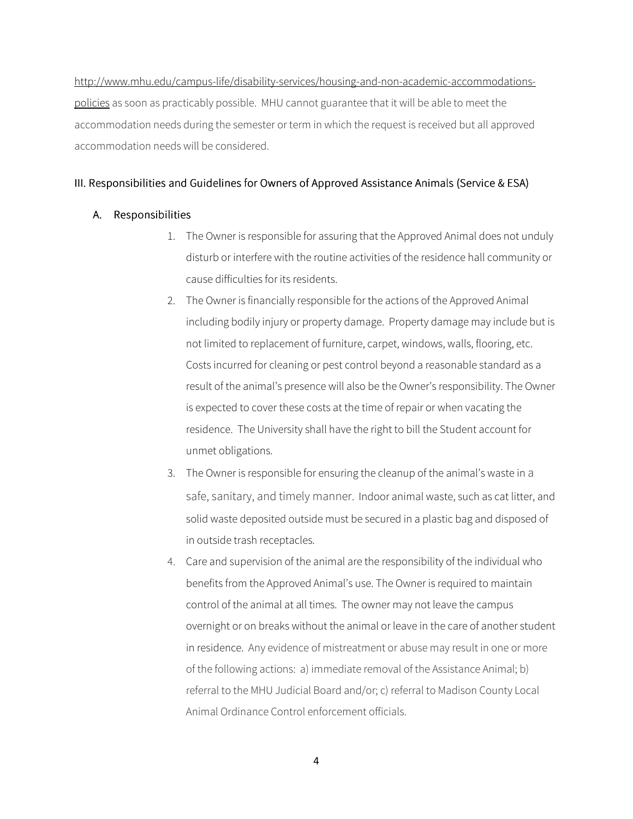http://www.mhu.edu/campus-life/disability-services/housing-and-non-academic-accommodationspolicies as soon as practicably possible. MHU cannot guarantee that it will be able to meet the accommodation needs during the semester or term in which the request is received but all approved accommodation needs will be considered.

#### III. Responsibilities and Guidelines for Owners of Approved Assistance Animals (Service & ESA)

#### A. Responsibilities

- 1. The Owner is responsible for assuring that the Approved Animal does not unduly disturb or interfere with the routine activities of the residence hall community or cause difficulties for its residents.
- 2. The Owner is financially responsible for the actions of the Approved Animal including bodily injury or property damage. Property damage may include but is not limited to replacement of furniture, carpet, windows, walls, flooring, etc. Costs incurred for cleaning or pest control beyond a reasonable standard as a result of the animal's presence will also be the Owner's responsibility. The Owner is expected to cover these costs at the time of repair or when vacating the residence. The University shall have the right to bill the Student account for unmet obligations.
- 3. The Owner is responsible for ensuring the cleanup of the animal's waste in a safe, sanitary, and timely manner. Indoor animal waste, such as cat litter, and solid waste deposited outside must be secured in a plastic bag and disposed of in outside trash receptacles.
- 4. Care and supervision of the animal are the responsibility of the individual who benefits from the Approved Animal's use. The Owner is required to maintain control of the animal at all times. The owner may not leave the campus overnight or on breaks without the animal or leave in the care of another student in residence. Any evidence of mistreatment or abuse may result in one or more of the following actions: a) immediate removal of the Assistance Animal; b) referral to the MHU Judicial Board and/or; c) referral to Madison County Local Animal Ordinance Control enforcement officials.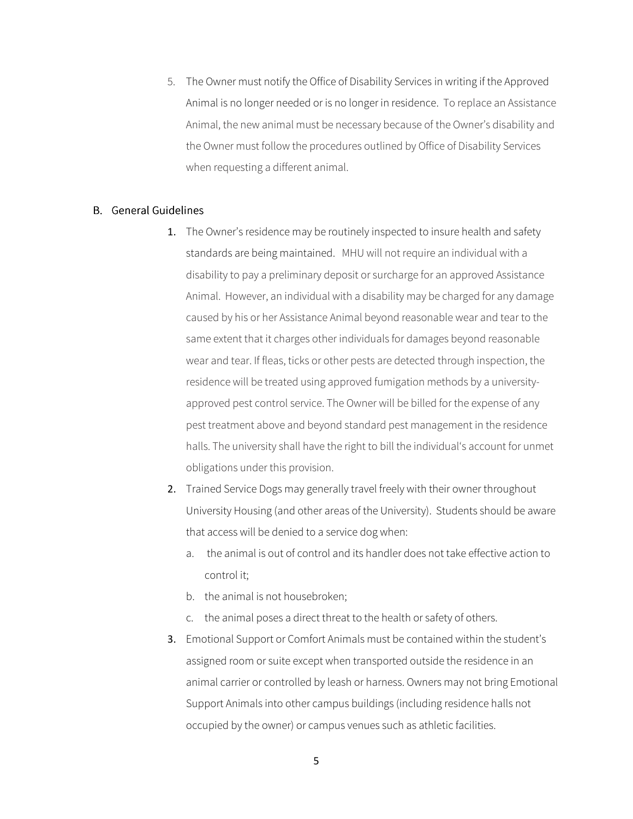5. The Owner must notify the Office of Disability Services in writing if the Approved Animal is no longer needed or is no longer in residence. To replace an Assistance Animal, the new animal must be necessary because of the Owner's disability and the Owner must follow the procedures outlined by Office of Disability Services when requesting a different animal.

#### **B.** General Guidelines

- 1. The Owner's residence may be routinely inspected to insure health and safety standards are being maintained. MHU will not require an individual with a disability to pay a preliminary deposit or surcharge for an approved Assistance Animal. However, an individual with a disability may be charged for any damage caused by his or her Assistance Animal beyond reasonable wear and tear to the same extent that it charges other individuals for damages beyond reasonable wear and tear. If fleas, ticks or other pests are detected through inspection, the residence will be treated using approved fumigation methods by a universityapproved pest control service. The Owner will be billed for the expense of any pest treatment above and beyond standard pest management in the residence halls. The university shall have the right to bill the individual's account for unmet obligations under this provision.
- 2. Trained Service Dogs may generally travel freely with their owner throughout University Housing (and other areas of the University). Students should be aware that access will be denied to a service dog when:
	- a. the animal is out of control and its handler does not take effective action to control it;
	- b. the animal is not housebroken;
	- c. the animal poses a direct threat to the health or safety of others.
- 3. Emotional Support or Comfort Animals must be contained within the student's assigned room or suite except when transported outside the residence in an animal carrier or controlled by leash or harness. Owners may not bring Emotional Support Animals into other campus buildings (including residence halls not occupied by the owner) or campus venues such as athletic facilities.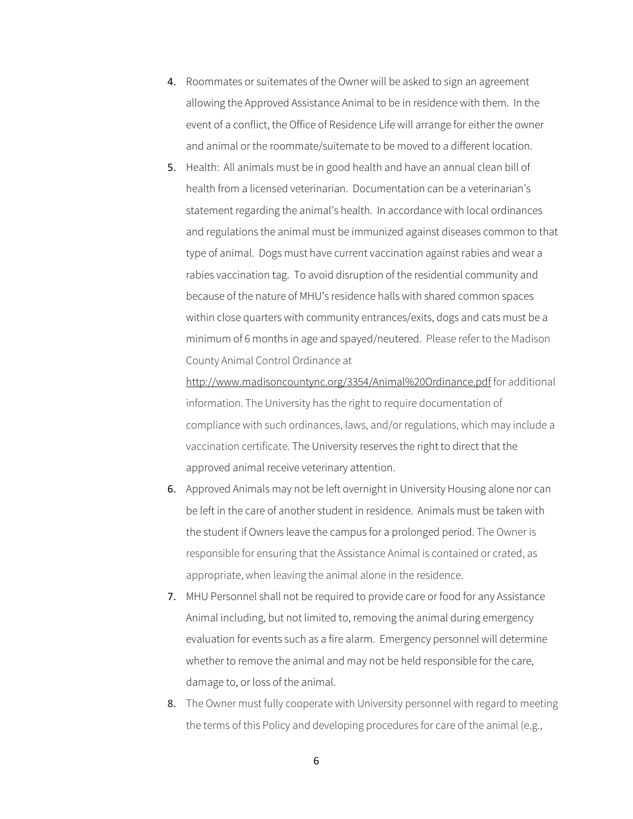- 4. Roommates or suitemates of the Owner will be asked to sign an agreement allowing the Approved Assistance Animal to be in residence with them. In the event of a conflict, the Office of Residence Life will arrange for either the owner and animal or the roommate/suitemate to be moved to a different location.
- 5. Health: All animals must be in good health and have an annual clean bill of health from a licensed veterinarian. Documentation can be a veterinarian's statement regarding the animal's health. In accordance with local ordinances and regulations the animal must be immunized against diseases common to that type of animal. Dogs must have current vaccination against rabies and wear a rabies vaccination tag. To avoid disruption of the residential community and because of the nature of MHU's residence halls with shared common spaces within close quarters with community entrances/exits, dogs and cats must be a minimum of 6 months in age and spayed/neutered. Please refer to the Madison County Animal Control Ordinance at

http://www.madisoncountync.org/3354/Animal%20Ordinance.pdf for additional information. The University has the right to require documentation of compliance with such ordinances, laws, and/or regulations, which may include a vaccination certificate. The University reserves the right to direct that the approved animal receive veterinary attention.

- 6. Approved Animals may not be left overnight in University Housing alone nor can be left in the care of another student in residence. Animals must be taken with the student if Owners leave the campus for a prolonged period. The Owner is responsible for ensuring that the Assistance Animal is contained or crated, as appropriate, when leaving the animal alone in the residence.
- 7. MHU Personnel shall not be required to provide care or food for any Assistance Animal including, but not limited to, removing the animal during emergency evaluation for events such as a fire alarm. Emergency personnel will determine whether to remove the animal and may not be held responsible for the care, damage to, or loss of the animal.
- 8. The Owner must fully cooperate with University personnel with regard to meeting the terms of this Policy and developing procedures for care of the animal (e.g.,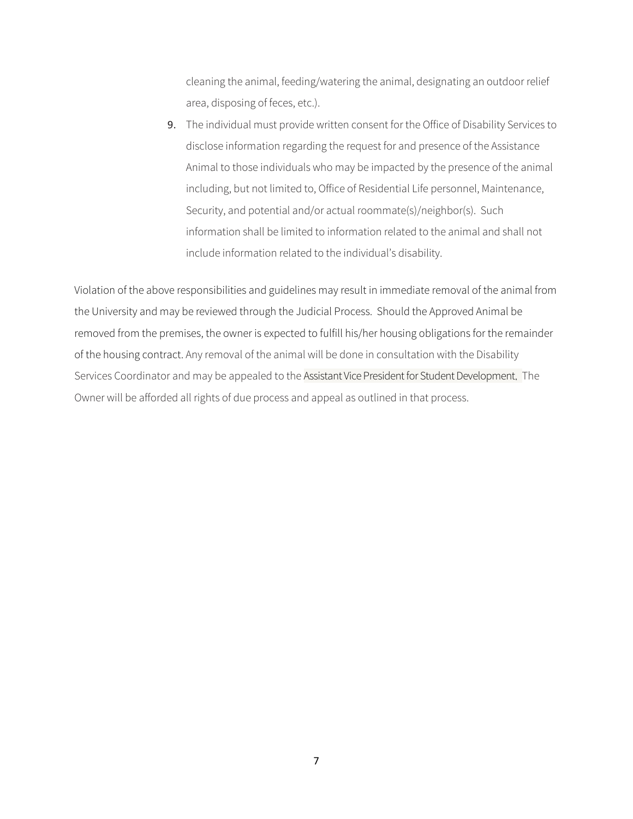cleaning the animal, feeding/watering the animal, designating an outdoor relief area, disposing of feces, etc.).

9. The individual must provide written consent for the Office of Disability Services to disclose information regarding the request for and presence of the Assistance Animal to those individuals who may be impacted by the presence of the animal including, but not limited to, Office of Residential Life personnel, Maintenance, Security, and potential and/or actual roommate(s)/neighbor(s). Such information shall be limited to information related to the animal and shall not include information related to the individual's disability.

Violation of the above responsibilities and guidelines may result in immediate removal of the animal from the University and may be reviewed through the Judicial Process. Should the Approved Animal be removed from the premises, the owner is expected to fulfill his/her housing obligations for the remainder of the housing contract. Any removal of the animal will be done in consultation with the Disability Services Coordinator and may be appealed to the Assistant Vice President for Student Development. The Owner will be afforded all rights of due process and appeal as outlined in that process.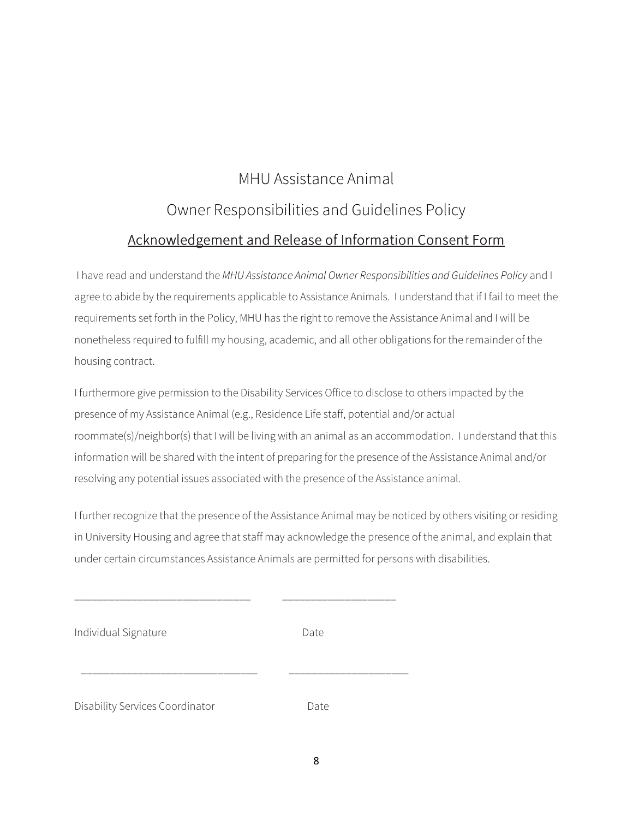# MHU Assistance Animal Owner Responsibilities and Guidelines Policy Acknowledgement and Release of Information Consent Form

 I have read and understand the MHU Assistance Animal Owner Responsibilities and Guidelines Policy and I agree to abide by the requirements applicable to Assistance Animals. I understand that if I fail to meet the requirements set forth in the Policy, MHU has the right to remove the Assistance Animal and I will be nonetheless required to fulfill my housing, academic, and all other obligations for the remainder of the housing contract.

I furthermore give permission to the Disability Services Office to disclose to others impacted by the presence of my Assistance Animal (e.g., Residence Life staff, potential and/or actual roommate(s)/neighbor(s) that I will be living with an animal as an accommodation. I understand that this information will be shared with the intent of preparing for the presence of the Assistance Animal and/or resolving any potential issues associated with the presence of the Assistance animal.

I further recognize that the presence of the Assistance Animal may be noticed by others visiting or residing in University Housing and agree that staff may acknowledge the presence of the animal, and explain that under certain circumstances Assistance Animals are permitted for persons with disabilities.

| Individual Signature | Date |
|----------------------|------|
|                      |      |

\_\_\_\_\_\_\_\_\_\_\_\_\_\_\_\_\_\_\_\_\_\_\_\_\_\_\_\_\_\_\_ \_\_\_\_\_\_\_\_\_\_\_\_\_\_\_\_\_\_\_\_

\_\_\_\_\_\_\_\_\_\_\_\_\_\_\_\_\_\_\_\_\_\_\_\_\_\_\_\_\_\_\_ \_\_\_\_\_\_\_\_\_\_\_\_\_\_\_\_\_\_\_\_\_

Disability Services Coordinator **Date**